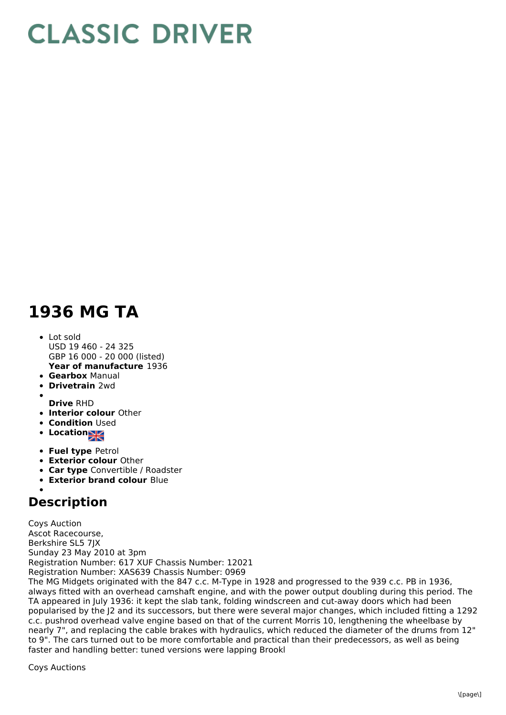## **CLASSIC DRIVER**

## **1936 MG TA**

- **Year of manufacture** 1936 Lot sold USD 19 460 - 24 325 GBP 16 000 - 20 000 (listed)
- **Gearbox** Manual
- **Drivetrain** 2wd  $\bullet$
- 
- **Drive** RHD
- **Interior colour** Other
- **Condition Used**
- **Location**
- **Fuel type** Petrol
- **Exterior colour** Other
- **Car type** Convertible / Roadster
- **Exterior brand colour** Blue

## **Description**

Coys Auction Ascot Racecourse, Berkshire SL5 7JX Sunday 23 May 2010 at 3pm Registration Number: 617 XUF Chassis Number: 12021 Registration Number: XAS639 Chassis Number: 0969 The MG Midgets originated with the 847 c.c. M-Type in 1928 and progressed to the 939 c.c. PB in 1936, always fitted with an overhead camshaft engine, and with the power output doubling during this period. The TA appeared in July 1936: it kept the slab tank, folding windscreen and cut-away doors which had been popularised by the J2 and its successors, but there were several major changes, which included fitting a 1292 c.c. pushrod overhead valve engine based on that of the current Morris 10, lengthening the wheelbase by nearly 7", and replacing the cable brakes with hydraulics, which reduced the diameter of the drums from 12" to 9". The cars turned out to be more comfortable and practical than their predecessors, as well as being faster and handling better: tuned versions were lapping Brookl

Coys Auctions